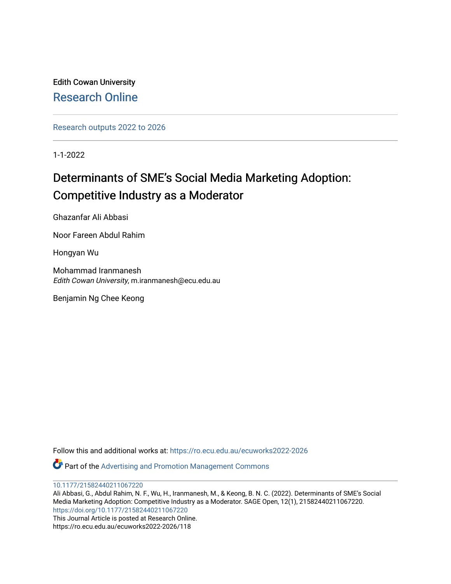Edith Cowan University [Research Online](https://ro.ecu.edu.au/) 

[Research outputs 2022 to 2026](https://ro.ecu.edu.au/ecuworks2022-2026) 

1-1-2022

# Determinants of SME's Social Media Marketing Adoption: Competitive Industry as a Moderator

Ghazanfar Ali Abbasi

Noor Fareen Abdul Rahim

Hongyan Wu

Mohammad Iranmanesh Edith Cowan University, m.iranmanesh@ecu.edu.au

Benjamin Ng Chee Keong

Follow this and additional works at: [https://ro.ecu.edu.au/ecuworks2022-2026](https://ro.ecu.edu.au/ecuworks2022-2026?utm_source=ro.ecu.edu.au%2Fecuworks2022-2026%2F118&utm_medium=PDF&utm_campaign=PDFCoverPages)

Part of the [Advertising and Promotion Management Commons](http://network.bepress.com/hgg/discipline/626?utm_source=ro.ecu.edu.au%2Fecuworks2022-2026%2F118&utm_medium=PDF&utm_campaign=PDFCoverPages) 

[10.1177/21582440211067220](http://dx.doi.org/10.1177/21582440211067220)

Ali Abbasi, G., Abdul Rahim, N. F., Wu, H., Iranmanesh, M., & Keong, B. N. C. (2022). Determinants of SME's Social Media Marketing Adoption: Competitive Industry as a Moderator. SAGE Open, 12(1), 21582440211067220. <https://doi.org/10.1177/21582440211067220> This Journal Article is posted at Research Online.

https://ro.ecu.edu.au/ecuworks2022-2026/118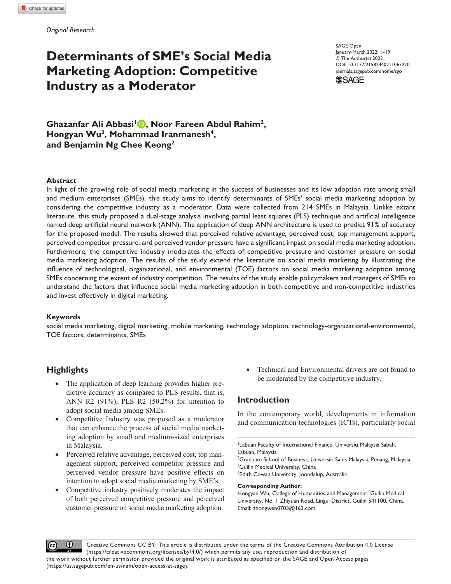# **Determinants of SME's Social Media Marketing Adoption: Competitive Industry as a Moderator**

DOI: 10.1177/21582440211067220 SAGE Open January-March 2022: 1–19 © The Author(s) 2022 [journals.sagepub.com/home/sgo](https://journals.sagepub.com/home/sgo)



**Ghazanfar Ali Abbasi1 , Noor Fareen Abdul Rahim2,**  Hongyan Wu<sup>3</sup>, Mohammad Iranmanesh<sup>4</sup>, **and Benjamin Ng Chee Keong2**

## **Abstract**

In light of the growing role of social media marketing in the success of businesses and its low adoption rate among small and medium enterprises (SMEs), this study aims to identify determinants of SMEs' social media marketing adoption by considering the competitive industry as a moderator. Data were collected from 214 SMEs in Malaysia. Unlike extant literature, this study proposed a dual-stage analysis involving partial least squares (PLS) technique and artificial intelligence named deep artificial neural network (ANN). The application of deep ANN architecture is used to predict 91% of accuracy for the proposed model. The results showed that perceived relative advantage, perceived cost, top management support, perceived competitor pressure, and perceived vendor pressure have a significant impact on social media marketing adoption. Furthermore, the competitive industry moderates the effects of competitive pressure and customer pressure on social media marketing adoption. The results of the study extend the literature on social media marketing by illustrating the influence of technological, organizational, and environmental (TOE) factors on social media marketing adoption among SMEs concerning the extent of industry competition. The results of the study enable policymakers and managers of SMEs to understand the factors that influence social media marketing adoption in both competitive and non-competitive industries and invest effectively in digital marketing.

## **Keywords**

social media marketing, digital marketing, mobile marketing, technology adoption, technology-organizational-environmental, TOE factors, determinants, SMEs

# **Highlights**

- The application of deep learning provides higher predictive accuracy as compared to PLS results, that is, ANN R2 (91%), PLS R2 (50.2%) for intention to adopt social media among SMEs.
- Competitive Industry was proposed as a moderator that can enhance the process of social media marketing adoption by small and medium-sized enterprises in Malaysia.
- Perceived relative advantage, perceived cost, top management support, perceived competitor pressure and perceived vendor pressure have positive effects on intention to adopt social media marketing by SME's.
- Competitive industry positively moderates the impact of both perceived competitive pressure and perceived customer pressure on social media marketing adoption.

• Technical and Environmental drivers are not found to be moderated by the competitive industry.

## **Introduction**

In the contemporary world, developments in information and communication technologies (ICTs), particularly social

1 Labuan Faculty of International Finance, Universiti Malaysia Sabah, Labuan, Malaysia

 $^2$ Graduate School of Business, Universiti Sains Malaysia, Penang, Malaysia <sup>3</sup>Guilin Medical University, China

4 Edith Cowan University, Joondalup, Australia

#### **Corresponding Author:**

Hongyan Wu, College of Humanities and Management, Guilin Medical University, No. 1 Zhiyuan Road, Lingui District, Guilin 541100, China. Email: [zhongwen0703@163.com](mailto:zhongwen0703@163.com)



Creative Commons CC BY: This article is distributed under the terms of the Creative Commons Attribution 4.0 License (https://creativecommons.org/licenses/by/4.0/) which permits any use, reproduction and distribution of the work without further permission provided the original work is attributed as specified on the SAGE and Open Access pages (https://us.sagepub.com/en-us/nam/open-access-at-sage).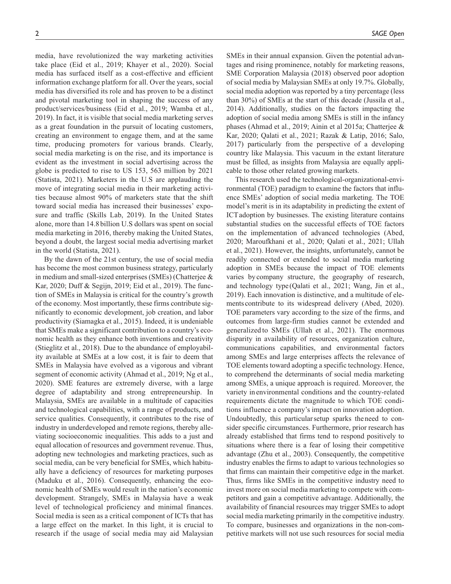media, have revolutionized the way marketing activities take place (Eid et al., 2019; Khayer et al., 2020). Social media has surfaced itself as a cost-effective and efficient information exchange platform for all. Over the years, social media has diversified its role and has proven to be a distinct and pivotal marketing tool in shaping the success of any product/services/business (Eid et al., 2019; Wamba et al., 2019). In fact, it is visible that social media marketing serves as a great foundation in the pursuit of locating customers, creating an environment to engage them, and at the same time, producing promoters for various brands. Clearly, social media marketing is on the rise, and its importance is evident as the investment in social advertising across the globe is predicted to rise to US 153, 563 million by 2021 (Statista, 2021). Marketers in the U.S are applauding the move of integrating social media in their marketing activities because almost 90% of marketers state that the shift toward social media has increased their businesses' exposure and traffic (Skills Lab, 2019). In the United States alone, more than 14.8 billion U.S dollars was spent on social media marketing in 2016, thereby making the United States, beyond a doubt, the largest social media advertising market in the world (Statista, 2021).

By the dawn of the 21st century, the use of social media has become the most common business strategy, particularly in medium and small-sized enterprises (SMEs) (Chatterjee & Kar, 2020; Duff & Segijn, 2019; Eid et al., 2019). The function of SMEs in Malaysia is critical for the country's growth of the economy. Most importantly, these firms contribute significantly to economic development, job creation, and labor productivity (Siamagka et al., 2015). Indeed, it is undeniable that SMEs make a significant contribution to a country's economic health as they enhance both inventions and creativity (Stieglitz et al., 2018). Due to the abundance of employability available at SMEs at a low cost, it is fair to deem that SMEs in Malaysia have evolved as a vigorous and vibrant segment of economic activity (Ahmad et al., 2019; Ng et al., 2020). SME features are extremely diverse, with a large degree of adaptability and strong entrepreneurship. In Malaysia, SMEs are available in a multitude of capacities and technological capabilities, with a range of products, and service qualities. Consequently, it contributes to the rise of industry in underdeveloped and remote regions, thereby alleviating socioeconomic inequalities. This adds to a just and equal allocation of resources and government revenue. Thus, adopting new technologies and marketing practices, such as social media, can be very beneficial for SMEs, which habitually have a deficiency of resources for marketing purposes (Maduku et al., 2016). Consequently, enhancing the economic health of SMEs would result in the nation's economic development. Strangely, SMEs in Malaysia have a weak level of technological proficiency and minimal finances. Social media is seen as a critical component of ICTs that has a large effect on the market. In this light, it is crucial to research if the usage of social media may aid Malaysian

SMEs in their annual expansion. Given the potential advantages and rising prominence, notably for marketing reasons, SME Corporation Malaysia (2018) observed poor adoption of social media by Malaysian SMEs at only 19.7%. Globally, social media adoption was reported by a tiny percentage (less than 30%) of SMEs at the start of this decade (Jussila et al., 2014). Additionally, studies on the factors impacting the adoption of social media among SMEs is still in the infancy phases (Ahmad et al., 2019; Ainin et al 2015a; Chatterjee & Kar, 2020; Qalati et al., 2021; Razak & Latip, 2016; Salo, 2017) particularly from the perspective of a developing country like Malaysia. This vacuum in the extant literature must be filled, as insights from Malaysia are equally applicable to those other related growing markets.

This research used the technological-organizational-environmental (TOE) paradigm to examine the factors that influence SMEs' adoption of social media marketing. The TOE model's merit is in its adaptability in predicting the extent of ICTadoption by businesses. The existing literature contains substantial studies on the successful effects of TOE factors on the implementation of advanced technologies (Abed, 2020; Maroufkhani et al., 2020; Qalati et al., 2021; Ullah et al., 2021). However, the insights, unfortunately, cannot be readily connected or extended to social media marketing adoption in SMEs because the impact of TOE elements varies bycompany structure, the geography of research, and technology type (Qalati et al., 2021; Wang, Jin et al., 2019). Each innovation is distinctive, and a multitude of elements contribute to its widespread delivery (Abed, 2020). TOE parameters vary according to the size of the firms, and outcomes from large-firm studies cannot be extended and generalized to SMEs (Ullah et al., 2021). The enormous disparity in availability of resources, organization culture, communications capabilities, and environmental factors among SMEs and large enterprises affects the relevance of TOE elements toward adopting a specific technology. Hence, to comprehend the determinants of social media marketing among SMEs, a unique approach is required. Moreover, the variety in environmental conditions and the country-related requirements dictate the magnitude to which TOE conditions influence a company's impact on innovation adoption. Undoubtedly, this particularsetup sparks theneed to consider specific circumstances. Furthermore, prior research has already established that firms tend to respond positively to situations where there is a fear of losing their competitive advantage (Zhu et al., 2003). Consequently, the competitive industry enables the firms to adapt to various technologies so that firms can maintain their competitive edge in the market. Thus, firms like SMEs in the competitive industry need to invest more on social media marketing to compete with competitors and gain a competitive advantage. Additionally, the availability of financial resources may trigger SMEs to adopt social media marketing primarily in the competitive industry. To compare, businesses and organizations in the non-competitive markets will not use such resources for social media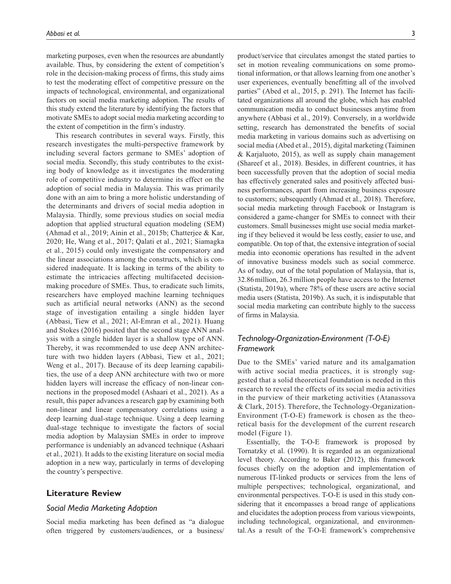marketing purposes, even when the resources are abundantly available. Thus, by considering the extent of competition's role in the decision-making process of firms, this study aims to test the moderating effect of competitive pressure on the impacts of technological, environmental, and organizational factors on social media marketing adoption. The results of this study extend the literature by identifying the factors that motivate SMEs to adopt social media marketing according to the extent of competition in the firm's industry.

This research contributes in several ways. Firstly, this research investigates the multi-perspective framework by including several factors germane to SMEs' adoption of social media. Secondly, this study contributes to the existing body of knowledge as it investigates the moderating role of competitive industry to determine its effect on the adoption of social media in Malaysia. This was primarily done with an aim to bring a more holistic understanding of the determinants and drivers of social media adoption in Malaysia. Thirdly, some previous studies on social media adoption that applied structural equation modeling (SEM) (Ahmad et al., 2019; Ainin et al., 2015b; Chatterjee & Kar, 2020; He, Wang et al., 2017; Qalati et al., 2021; Siamagka et al., 2015) could only investigate the compensatory and the linear associations among the constructs, which is considered inadequate. It is lacking in terms of the ability to estimate the intricacies affecting multifaceted decisionmaking procedure of SMEs. Thus, to eradicate such limits, researchers have employed machine learning techniques such as artificial neural networks (ANN) as the second stage of investigation entailing a single hidden layer (Abbasi, Tiew et al., 2021; Al-Emran et al., 2021). Huang and Stokes (2016) posited that the second stage ANN analysis with a single hidden layer is a shallow type of ANN. Thereby, it was recommended to use deep ANN architecture with two hidden layers (Abbasi, Tiew et al., 2021; Weng et al., 2017). Because of its deep learning capabilities, the use of a deep ANN architecture with two or more hidden layers will increase the efficacy of non-linear connections in the proposedmodel (Ashaari et al., 2021). As a result, this paper advances a research gap by examining both non-linear and linear compensatory correlations using a deep learning dual-stage technique. Using a deep learning dual-stage technique to investigate the factors of social media adoption by Malaysian SMEs in order to improve performance is undeniably an advanced technique (Ashaari et al., 2021). It adds to the existing literature on social media adoption in a new way, particularly in terms of developing the country's perspective.

## **Literature Review**

#### *Social Media Marketing Adoption*

Social media marketing has been defined as "a dialogue often triggered by customers/audiences, or a business/

product/service that circulates amongst the stated parties to set in motion revealing communications on some promotional information, or that allows learning from one another's user experiences, eventually benefitting all of the involved parties" (Abed et al., 2015, p. 291). The Internet has facilitated organizations all around the globe, which has enabled communication media to conduct businesses anytime from anywhere (Abbasi et al., 2019). Conversely, in a worldwide setting, research has demonstrated the benefits of social media marketing in various domains such as advertising on social media (Abed et al., 2015), digital marketing (Taiminen & Karjaluoto, 2015), as well as supply chain management (Shareef et al., 2018). Besides, in different countries, it has been successfully proven that the adoption of social media has effectively generated sales and positively affected business performances, apart from increasing business exposure to customers; subsequently (Ahmad et al., 2018). Therefore, social media marketing through Facebook or Instagram is considered a game-changer for SMEs to connect with their customers. Small businesses might use social media marketing if they believed it would be less costly, easier to use, and compatible. On top of that, the extensive integration of social media into economic operations has resulted in the advent of innovative business models such as social commerce. As of today, out of the total population of Malaysia, that is, 32.86million, 26.3million people have access to the Internet (Statista, 2019a), where 78% of these users are active social media users (Statista, 2019b). As such, it is indisputable that social media marketing can contribute highly to the success of firms in Malaysia.

# *Technology-Organization-Environment (T-O-E) Framework*

Due to the SMEs' varied nature and its amalgamation with active social media practices, it is strongly suggested that a solid theoretical foundation is needed in this research to reveal the effects of its social media activities in the purview of their marketing activities (Atanassova & Clark, 2015). Therefore, the Technology-Organization-Environment (T-O-E) framework is chosen as the theoretical basis for the development of the current research model (Figure 1).

Essentially, the T-O-E framework is proposed by Tornatzky et al. (1990). It is regarded as an organizational level theory. According to Baker (2012), this framework focuses chiefly on the adoption and implementation of numerous IT-linked products or services from the lens of multiple perspectives; technological, organizational, and environmental perspectives. T-O-E is used in this study considering that it encompasses a broad range of applications and elucidates the adoption process from various viewpoints, including technological, organizational, and environmental.As a result of the T-O-E framework's comprehensive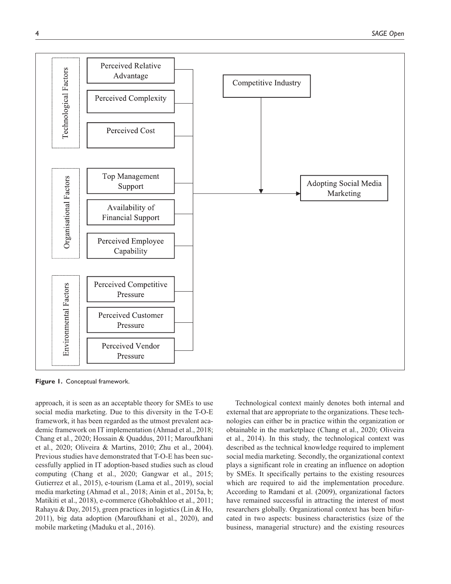

**Figure 1.** Conceptual framework.

approach, it is seen as an acceptable theory for SMEs to use social media marketing. Due to this diversity in the T-O-E framework, it has been regarded as the utmost prevalent academic framework on IT implementation (Ahmad et al., 2018; Chang et al., 2020; Hossain & Quaddus, 2011; Maroufkhani et al., 2020; Oliveira & Martins, 2010; Zhu et al., 2004). Previous studies have demonstrated that T-O-E has been successfully applied in IT adoption-based studies such as cloud computing (Chang et al., 2020; Gangwar et al., 2015; Gutierrez et al., 2015), e-tourism (Lama et al., 2019), social media marketing (Ahmad et al., 2018; Ainin et al., 2015a, b; Matikiti et al., 2018), e-commerce (Ghobakhloo et al., 2011; Rahayu & Day, 2015), green practices in logistics (Lin & Ho, 2011), big data adoption (Maroufkhani et al., 2020), and mobile marketing (Maduku et al., 2016).

Technological context mainly denotes both internal and external that are appropriate to the organizations. These technologies can either be in practice within the organization or obtainable in the marketplace (Chang et al., 2020; Oliveira et al., 2014). In this study, the technological context was described as the technical knowledge required to implement social media marketing. Secondly, the organizational context plays a significant role in creating an influence on adoption by SMEs. It specifically pertains to the existing resources which are required to aid the implementation procedure. According to Ramdani et al. (2009), organizational factors have remained successful in attracting the interest of most researchers globally. Organizational context has been bifurcated in two aspects: business characteristics (size of the business, managerial structure) and the existing resources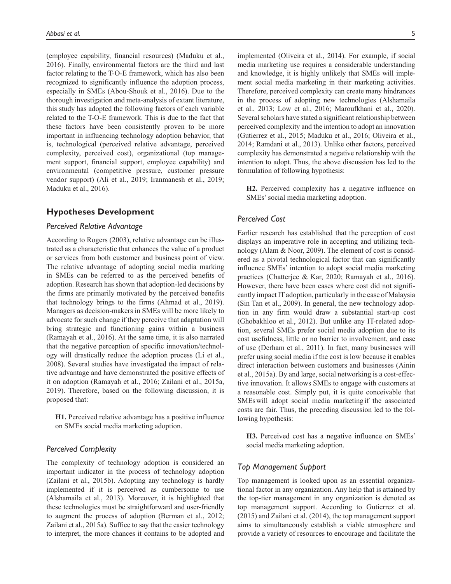(employee capability, financial resources) (Maduku et al., 2016). Finally, environmental factors are the third and last factor relating to the T-O-E framework, which has also been recognized to significantly influence the adoption process, especially in SMEs (Abou-Shouk et al., 2016). Due to the thorough investigation and meta-analysis of extant literature, this study has adopted the following factors of each variable related to the T-O-E framework. This is due to the fact that these factors have been consistently proven to be more important in influencing technology adoption behavior, that is, technological (perceived relative advantage, perceived complexity, perceived cost), organizational (top management support, financial support, employee capability) and environmental (competitive pressure, customer pressure vendor support) (Ali et al., 2019; Iranmanesh et al., 2019; Maduku et al., 2016).

## **Hypotheses Development**

## *Perceived Relative Advantage*

According to Rogers (2003), relative advantage can be illustrated as a characteristic that enhances the value of a product or services from both customer and business point of view. The relative advantage of adopting social media marking in SMEs can be referred to as the perceived benefits of adoption. Research has shown that adoption-led decisions by the firms are primarily motivated by the perceived benefits that technology brings to the firms (Ahmad et al., 2019). Managers as decision-makers in SMEs will be more likely to advocate for such change if they perceive that adaptation will bring strategic and functioning gains within a business (Ramayah et al., 2016). At the same time, it is also narrated that the negative perception of specific innovation/technology will drastically reduce the adoption process (Li et al., 2008). Several studies have investigated the impact of relative advantage and have demonstrated the positive effects of it on adoption (Ramayah et al., 2016; Zailani et al., 2015a, 2019). Therefore, based on the following discussion, it is proposed that:

**H1.** Perceived relative advantage has a positive influence on SMEs social media marketing adoption.

## *Perceived Complexity*

The complexity of technology adoption is considered an important indicator in the process of technology adoption (Zailani et al., 2015b). Adopting any technology is hardly implemented if it is perceived as cumbersome to use (Alshamaila et al., 2013). Moreover, it is highlighted that these technologies must be straightforward and user-friendly to augment the process of adoption (Berman et al., 2012; Zailani et al., 2015a). Suffice to say that the easier technology to interpret, the more chances it contains to be adopted and

implemented (Oliveira et al., 2014). For example, if social media marketing use requires a considerable understanding and knowledge, it is highly unlikely that SMEs will implement social media marketing in their marketing activities. Therefore, perceived complexity can create many hindrances in the process of adopting new technologies (Alshamaila et al., 2013; Low et al., 2016; Maroufkhani et al., 2020). Several scholars have stated a significant relationship between perceived complexity and the intention to adopt an innovation (Gutierrez et al., 2015; Maduku et al., 2016; Oliveira et al., 2014; Ramdani et al., 2013). Unlike other factors, perceived complexity has demonstrated a negative relationship with the intention to adopt. Thus, the above discussion has led to the formulation of following hypothesis:

**H2.** Perceived complexity has a negative influence on SMEs' social media marketing adoption.

### *Perceived Cost*

Earlier research has established that the perception of cost displays an imperative role in accepting and utilizing technology (Alam & Noor, 2009). The element of cost is considered as a pivotal technological factor that can significantly influence SMEs' intention to adopt social media marketing practices (Chatterjee & Kar, 2020; Ramayah et al., 2016). However, there have been cases where cost did not significantly impact IT adoption, particularly in the case of Malaysia (Sin Tan et al., 2009). In general, the new technology adoption in any firm would draw a substantial start-up cost (Ghobakhloo et al., 2012). But unlike any IT-related adoption, several SMEs prefer social media adoption due to its cost usefulness, little or no barrier to involvement, and ease of use (Derham et al., 2011). In fact, many businesses will prefer using social media if the cost is low because it enables direct interaction between customers and businesses (Ainin et al., 2015a). By and large, social networking is a cost-effective innovation. It allows SMEs to engage with customers at a reasonable cost. Simply put, it is quite conceivable that SMEswill adopt social media marketingif the associated costs are fair. Thus, the preceding discussion led to the following hypothesis:

**H3.** Perceived cost has a negative influence on SMEs' social media marketing adoption.

#### *Top Management Support*

Top management is looked upon as an essential organizational factor in any organization. Any help that is attained by the top-tier management in any organization is denoted as top management support. According to Gutierrez et al. (2015) and Zailani et al. (2014), the top management support aims to simultaneously establish a viable atmosphere and provide a variety of resources to encourage and facilitate the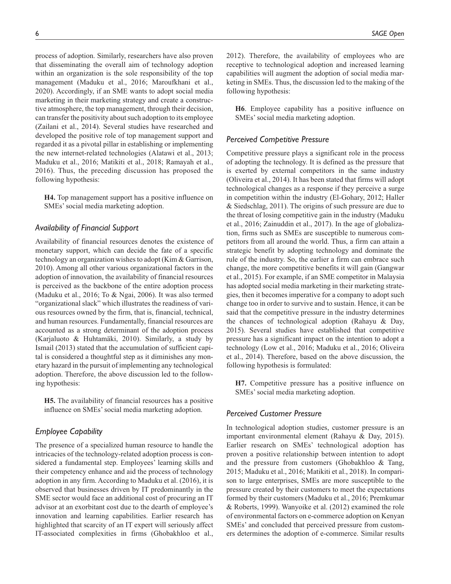process of adoption. Similarly, researchers have also proven that disseminating the overall aim of technology adoption within an organization is the sole responsibility of the top management (Maduku et al., 2016; Maroufkhani et al., 2020). Accordingly, if an SME wants to adopt social media marketing in their marketing strategy and create a constructive atmosphere, the top management, through their decision, can transfer the positivity about such adoption to its employee (Zailani et al., 2014). Several studies have researched and developed the positive role of top management support and regarded it as a pivotal pillar in establishing or implementing the new internet-related technologies (Alatawi et al., 2013; Maduku et al., 2016; Matikiti et al., 2018; Ramayah et al., 2016). Thus, the preceding discussion has proposed the following hypothesis:

**H4.** Top management support has a positive influence on SMEs' social media marketing adoption.

## *Availability of Financial Support*

Availability of financial resources denotes the existence of monetary support, which can decide the fate of a specific technology an organization wishes to adopt (Kim & Garrison, 2010). Among all other various organizational factors in the adoption of innovation, the availability of financial resources is perceived as the backbone of the entire adoption process (Maduku et al., 2016; To & Ngai, 2006). It was also termed "organizational slack" which illustrates the readiness of various resources owned by the firm, that is, financial, technical, and human resources. Fundamentally, financial resources are accounted as a strong determinant of the adoption process (Karjaluoto & Huhtamäki, 2010). Similarly, a study by Ismail (2013) stated that the accumulation of sufficient capital is considered a thoughtful step as it diminishes any monetary hazard in the pursuit of implementing any technological adoption. Therefore, the above discussion led to the following hypothesis:

**H5.** The availability of financial resources has a positive influence on SMEs' social media marketing adoption.

## *Employee Capability*

The presence of a specialized human resource to handle the intricacies of the technology-related adoption process is considered a fundamental step. Employees' learning skills and their competency enhance and aid the process of technology adoption in any firm. According to Maduku et al. (2016), it is observed that businesses driven by IT predominantly in the SME sector would face an additional cost of procuring an IT advisor at an exorbitant cost due to the dearth of employee's innovation and learning capabilities. Earlier research has highlighted that scarcity of an IT expert will seriously affect IT-associated complexities in firms (Ghobakhloo et al.,

2012). Therefore, the availability of employees who are receptive to technological adoption and increased learning capabilities will augment the adoption of social media marketing in SMEs. Thus, the discussion led to the making of the following hypothesis:

**H6**. Employee capability has a positive influence on SMEs' social media marketing adoption.

#### *Perceived Competitive Pressure*

Competitive pressure plays a significant role in the process of adopting the technology. It is defined as the pressure that is exerted by external competitors in the same industry (Oliveira et al., 2014). It has been stated that firms will adopt technological changes as a response if they perceive a surge in competition within the industry (El-Gohary, 2012; Haller & Siedschlag, 2011). The origins of such pressure are due to the threat of losing competitive gain in the industry (Maduku et al., 2016; Zainuddin et al., 2017). In the age of globalization, firms such as SMEs are susceptible to numerous competitors from all around the world. Thus, a firm can attain a strategic benefit by adopting technology and dominate the rule of the industry. So, the earlier a firm can embrace such change, the more competitive benefits it will gain (Gangwar et al., 2015). For example, if an SME competitor in Malaysia has adopted social media marketing in their marketing strategies, then it becomes imperative for a company to adopt such change too in order to survive and to sustain. Hence, it can be said that the competitive pressure in the industry determines the chances of technological adoption (Rahayu & Day, 2015). Several studies have established that competitive pressure has a significant impact on the intention to adopt a technology (Low et al., 2016; Maduku et al., 2016; Oliveira et al., 2014). Therefore, based on the above discussion, the following hypothesis is formulated:

**H7.** Competitive pressure has a positive influence on SMEs' social media marketing adoption.

## *Perceived Customer Pressure*

In technological adoption studies, customer pressure is an important environmental element (Rahayu & Day, 2015). Earlier research on SMEs' technological adoption has proven a positive relationship between intention to adopt and the pressure from customers (Ghobakhloo & Tang, 2015; Maduku et al., 2016; Matikiti et al., 2018). In comparison to large enterprises, SMEs are more susceptible to the pressure created by their customers to meet the expectations formed by their customers (Maduku et al., 2016; Premkumar & Roberts, 1999). Wanyoike et al. (2012) examined the role of environmental factors on e-commerce adoption on Kenyan SMEs' and concluded that perceived pressure from customers determines the adoption of e-commerce. Similar results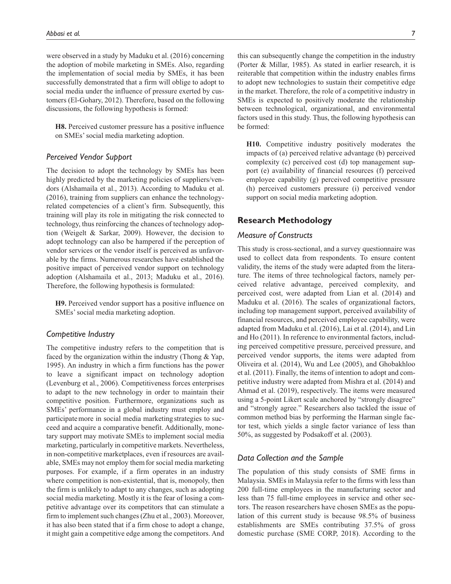were observed in a study by Maduku et al. (2016) concerning the adoption of mobile marketing in SMEs. Also, regarding the implementation of social media by SMEs, it has been successfully demonstrated that a firm will oblige to adopt to social media under the influence of pressure exerted by customers (El-Gohary, 2012). Therefore, based on the following discussions, the following hypothesis is formed:

**H8.** Perceived customer pressure has a positive influence on SMEs' social media marketing adoption.

## *Perceived Vendor Support*

The decision to adopt the technology by SMEs has been highly predicted by the marketing policies of suppliers/vendors (Alshamaila et al., 2013). According to Maduku et al. (2016), training from suppliers can enhance the technologyrelated competencies of a client's firm. Subsequently, this training will play its role in mitigating the risk connected to technology, thus reinforcing the chances of technology adoption (Weigelt & Sarkar, 2009). However, the decision to adopt technology can also be hampered if the perception of vendor services or the vendor itself is perceived as unfavorable by the firms. Numerous researches have established the positive impact of perceived vendor support on technology adoption (Alshamaila et al., 2013; Maduku et al., 2016). Therefore, the following hypothesis is formulated:

**H9.** Perceived vendor support has a positive influence on SMEs' social media marketing adoption.

#### *Competitive Industry*

The competitive industry refers to the competition that is faced by the organization within the industry (Thong & Yap, 1995). An industry in which a firm functions has the power to leave a significant impact on technology adoption (Levenburg et al., 2006). Competitiveness forces enterprises to adapt to the new technology in order to maintain their competitive position. Furthermore, organizations such as SMEs' performance in a global industry must employ and participatemore in social media marketingstrategies to succeed and acquire a comparative benefit. Additionally, monetary support may motivate SMEs to implement social media marketing, particularly in competitive markets. Nevertheless, in non-competitive marketplaces, even if resources are available, SMEs maynot employ themfor social media marketing purposes. For example, if a firm operates in an industry where competition is non-existential, that is, monopoly, then the firm is unlikely to adapt to any changes, such as adopting social media marketing. Mostly it is the fear of losing a competitive advantage over its competitors that can stimulate a firm to implement such changes (Zhu et al., 2003). Moreover, it has also been stated that if a firm chose to adopt a change, it might gain a competitive edge among the competitors. And

this can subsequently change the competition in the industry (Porter & Millar, 1985). As stated in earlier research, it is reiterable that competition within the industry enables firms to adopt new technologies to sustain their competitive edge in the market. Therefore, the role of a competitive industry in SMEs is expected to positively moderate the relationship between technological, organizational, and environmental factors used in this study. Thus, the following hypothesis can be formed:

**H10.** Competitive industry positively moderates the impacts of (a) perceived relative advantage (b) perceived complexity (c) perceived cost (d) top management support (e) availability of financial resources (f) perceived employee capability (g) perceived competitive pressure (h) perceived customers pressure (i) perceived vendor support on social media marketing adoption.

## **Research Methodology**

## *Measure of Constructs*

This study is cross-sectional, and a survey questionnaire was used to collect data from respondents. To ensure content validity, the items of the study were adapted from the literature. The items of three technological factors, namely perceived relative advantage, perceived complexity, and perceived cost, were adapted from Lian et al. (2014) and Maduku et al. (2016). The scales of organizational factors, including top management support, perceived availability of financial resources, and perceived employee capability, were adapted from Maduku et al. (2016), Lai et al. (2014), and Lin and Ho (2011). In reference to environmental factors, including perceived competitive pressure, perceived pressure, and perceived vendor supports, the items were adapted from Oliveira et al. (2014), Wu and Lee (2005), and Ghobakhloo et al. (2011). Finally, the items of intention to adopt and competitive industry were adapted from Mishra et al. (2014) and Ahmad et al. (2019), respectively. The items were measured using a 5-point Likert scale anchored by "strongly disagree" and "strongly agree." Researchers also tackled the issue of common method bias by performing the Harman single factor test, which yields a single factor variance of less than 50%, as suggested by Podsakoff et al. (2003).

## *Data Collection and the Sample*

The population of this study consists of SME firms in Malaysia. SMEs in Malaysia refer to the firms with less than 200 full-time employees in the manufacturing sector and less than 75 full-time employees in service and other sectors. The reason researchers have chosen SMEs as the population of this current study is because 98.5% of business establishments are SMEs contributing 37.5% of gross domestic purchase (SME CORP, 2018). According to the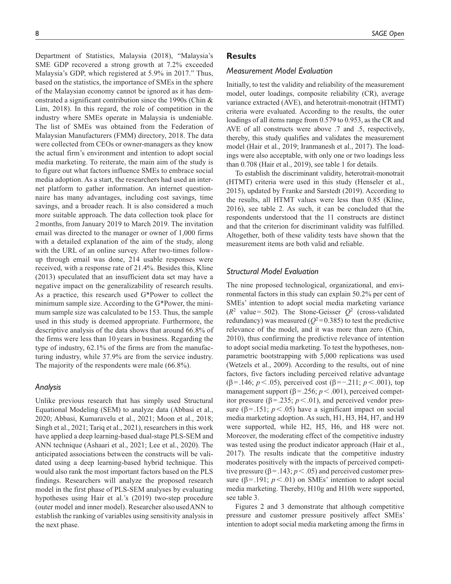Department of Statistics, Malaysia (2018), "Malaysia's SME GDP recovered a strong growth at 7.2% exceeded Malaysia's GDP, which registered at 5.9% in 2017." Thus, based on the statistics, the importance of SMEs in the sphere of the Malaysian economy cannot be ignored as it has demonstrated a significant contribution since the 1990s (Chin & Lim, 2018). In this regard, the role of competition in the industry where SMEs operate in Malaysia is undeniable. The list of SMEs was obtained from the Federation of Malaysian Manufacturers (FMM) directory, 2018. The data were collected from CEOs or owner-managers as they know the actual firm's environment and intention to adopt social media marketing. To reiterate, the main aim of the study is to figure out what factors influence SMEs to embrace social media adoption. As a start, the researchers had used an internet platform to gather information. An internet questionnaire has many advantages, including cost savings, time savings, and a broader reach. It is also considered a much more suitable approach. The data collection took place for 2months, from January 2019 to March 2019. The invitation email was directed to the manager or owner of 1,000 firms with a detailed explanation of the aim of the study, along with the URL of an online survey. After two-times followup through email was done, 214 usable responses were received, with a response rate of 21.4%. Besides this, Kline (2013) speculated that an insufficient data set may have a negative impact on the generalizability of research results. As a practice, this research used G\*Power to collect the minimum sample size. According to the G\*Power, the minimum sample size was calculated to be 153. Thus, the sample used in this study is deemed appropriate. Furthermore, the descriptive analysis of the data shows that around 66.8% of the firms were less than 10 years in business. Regarding the type of industry, 62.1% of the firms are from the manufacturing industry, while 37.9% are from the service industry. The majority of the respondents were male (66.8%).

#### *Analysis*

Unlike previous research that has simply used Structural Equational Modeling (SEM) to analyze data (Abbasi et al., 2020; Abbasi, Kumaravelu et al., 2021; Moon et al., 2018; Singh et al., 2021; Tariq et al., 2021), researchers in this work have applied a deep learning-based dual-stage PLS-SEM and ANN technique (Ashaari et al., 2021; Lee et al., 2020). The anticipated associations between the constructs will be validated using a deep learning-based hybrid technique. This would also rank the most important factors based on the PLS findings. Researchers will analyze the proposed research model in the first phase of PLS-SEM analyses by evaluating hypotheses using Hair et al.'s (2019) two-step procedure (outer model and inner model). Researcher also usedANN to establish the ranking of variables using sensitivity analysis in the next phase.

## **Results**

#### *Measurement Model Evaluation*

Initially, to test the validity and reliability of the measurement model, outer loadings, composite reliability (CR), average variance extracted (AVE), and heterotrait-monotrait (HTMT) criteria were evaluated. According to the results, the outer loadings of all items range from 0.579 to 0.953, as the CR and AVE of all constructs were above .7 and .5, respectively, thereby, this study qualifies and validates the measurement model (Hair et al., 2019; Iranmanesh et al., 2017). The loadings were also acceptable, with only one or two loadings less than 0.708 (Hair et al., 2019), see table 1 for details.

To establish the discriminant validity, heterotrait-monotrait (HTMT) criteria were used in this study (Henseler et al., 2015), updated by Franke and Sarstedt (2019). According to the results, all HTMT values were less than 0.85 (Kline, 2016), see table 2. As such, it can be concluded that the respondents understood that the 11 constructs are distinct and that the criterion for discriminant validity was fulfilled. Altogether, both of these validity tests have shown that the measurement items are both valid and reliable.

## *Structural Model Evaluation*

The nine proposed technological, organizational, and environmental factors in this study can explain 50.2% per cent of SMEs' intention to adopt social media marketing variance  $(R^2 \text{ value} = .502)$ . The Stone-Geisser  $Q^2$  (cross-validated redundancy) was measured ( $Q^2$ =0.385) to test the predictive relevance of the model, and it was more than zero (Chin, 2010), thus confirming the predictive relevance of intention to adopt social media marketing. To test the hypotheses, nonparametric bootstrapping with 5,000 replications was used (Wetzels et al., 2009). According to the results, out of nine factors, five factors including perceived relative advantage (β=.146; *p*<.05), perceived cost (β=−.211; *p*<.001), top management support ( $\beta$ =.256;  $p$  <.001), perceived competitor pressure ( $\beta$ =.235;  $p$  <.01), and perceived vendor pressure ( $\beta$ =.151; *p* < .05) have a significant impact on social media marketing adoption. As such, H1, H3, H4, H7, and H9 were supported, while H2, H5, H6, and H8 were not. Moreover, the moderating effect of the competitive industry was tested using the product indicator approach (Hair et al., 2017). The results indicate that the competitive industry moderates positively with the impacts of perceived competitive pressure ( $\beta$ =.143; *p* < .05) and perceived customer pressure ( $\beta$ =.191;  $p$ <.01) on SMEs' intention to adopt social media marketing. Thereby, H10g and H10h were supported, see table 3.

Figures 2 and 3 demonstrate that although competitive pressure and customer pressure positively affect SMEs' intention to adopt social media marketing among the firms in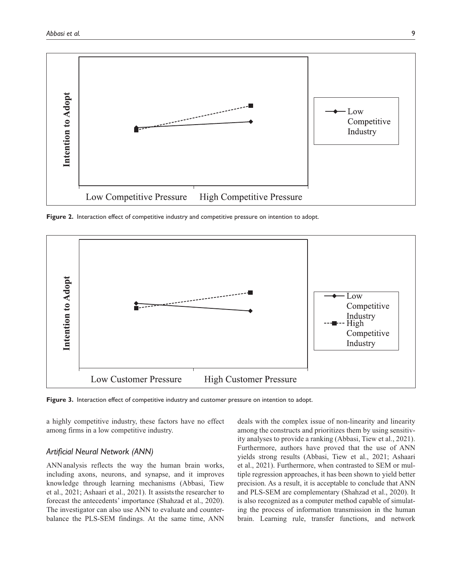

**Figure 2.** Interaction effect of competitive industry and competitive pressure on intention to adopt.



**Figure 3.** Interaction effect of competitive industry and customer pressure on intention to adopt.

a highly competitive industry, these factors have no effect among firms in a low competitive industry.

## *Artificial Neural Network (ANN)*

ANNanalysis reflects the way the human brain works, including axons, neurons, and synapse, and it improves knowledge through learning mechanisms (Abbasi, Tiew et al., 2021; Ashaari et al., 2021). It assiststhe researcher to forecast the antecedents' importance (Shahzad et al., 2020). The investigator can also use ANN to evaluate and counterbalance the PLS-SEM findings. At the same time, ANN

deals with the complex issue of non-linearity and linearity among the constructs and prioritizes them by using sensitivity analyses to provide a ranking (Abbasi, Tiew et al., 2021). Furthermore, authors have proved that the use of ANN yields strong results (Abbasi, Tiew et al., 2021; Ashaari et al., 2021). Furthermore, when contrasted to SEM or multiple regression approaches, it has been shown to yield better precision. As a result, it is acceptable to conclude that ANN and PLS-SEM are complementary (Shahzad et al., 2020). It is also recognized as a computer method capable of simulating the process of information transmission in the human brain. Learning rule, transfer functions, and network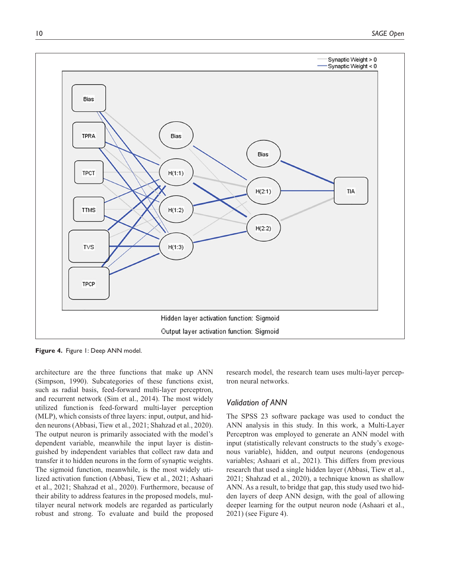

**Figure 4.** Figure 1: Deep ANN model.

architecture are the three functions that make up ANN (Simpson, 1990). Subcategories of these functions exist, such as radial basis, feed-forward multi-layer perceptron, and recurrent network (Sim et al., 2014). The most widely utilized functionis feed-forward multi-layer perception (MLP), which consists of three layers: input, output, and hidden neurons (Abbasi, Tiew et al., 2021; Shahzad et al., 2020). The output neuron is primarily associated with the model's dependent variable, meanwhile the input layer is distinguished by independent variables that collect raw data and transfer it to hidden neurons in the form of synaptic weights. The sigmoid function, meanwhile, is the most widely utilized activation function (Abbasi, Tiew et al., 2021; Ashaari et al., 2021; Shahzad et al., 2020). Furthermore, because of their ability to address features in the proposed models, multilayer neural network models are regarded as particularly robust and strong. To evaluate and build the proposed

research model, the research team uses multi-layer perceptron neural networks.

#### *Validation of ANN*

The SPSS 23 software package was used to conduct the ANN analysis in this study. In this work, a Multi-Layer Perceptron was employed to generate an ANN model with input (statistically relevant constructs to the study's exogenous variable), hidden, and output neurons (endogenous variables; Ashaari et al., 2021). This differs from previous research that used a single hidden layer (Abbasi, Tiew et al., 2021; Shahzad et al., 2020), a technique known as shallow ANN. As a result, to bridge that gap, this study used two hidden layers of deep ANN design, with the goal of allowing deeper learning for the output neuron node (Ashaari et al., 2021) (see Figure 4).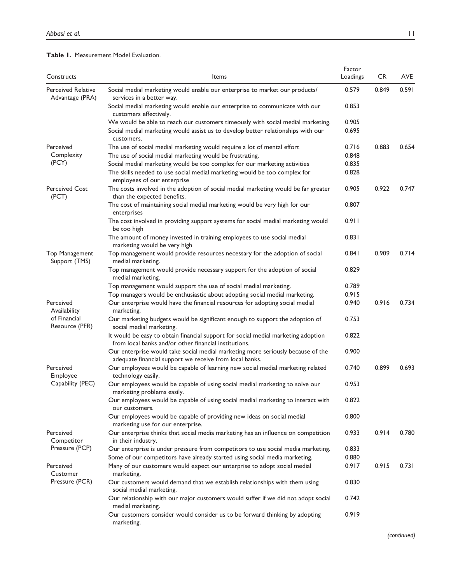|  | <b>Table 1. Measurement Model Evaluation.</b> |  |  |
|--|-----------------------------------------------|--|--|
|--|-----------------------------------------------|--|--|

| Constructs                                   | Items                                                                                                                                      | Factor<br>Loadings | <b>CR</b> | AVE   |
|----------------------------------------------|--------------------------------------------------------------------------------------------------------------------------------------------|--------------------|-----------|-------|
| <b>Perceived Relative</b><br>Advantage (PRA) | Social medial marketing would enable our enterprise to market our products/<br>services in a better way.                                   | 0.579              | 0.849     | 0.591 |
|                                              | Social medial marketing would enable our enterprise to communicate with our<br>customers effectively.                                      | 0.853              |           |       |
|                                              | We would be able to reach our customers timeously with social medial marketing.                                                            | 0.905              |           |       |
|                                              | Social medial marketing would assist us to develop better relationships with our<br>customers.                                             | 0.695              |           |       |
| Perceived                                    | The use of social medial marketing would require a lot of mental effort                                                                    | 0.716              | 0.883     | 0.654 |
| Complexity                                   | The use of social medial marketing would be frustrating.                                                                                   | 0.848              |           |       |
| (PCY)                                        | Social medial marketing would be too complex for our marketing activities                                                                  | 0.835              |           |       |
|                                              | The skills needed to use social medial marketing would be too complex for<br>employees of our enterprise                                   | 0.828              |           |       |
| <b>Perceived Cost</b><br>(PCT)               | The costs involved in the adoption of social medial marketing would be far greater<br>than the expected benefits.                          | 0.905              | 0.922     | 0.747 |
|                                              | The cost of maintaining social medial marketing would be very high for our<br>enterprises                                                  | 0.807              |           |       |
|                                              | The cost involved in providing support systems for social medial marketing would<br>be too high                                            | 0.911              |           |       |
|                                              | The amount of money invested in training employees to use social medial<br>marketing would be very high                                    | 0.831              |           |       |
| <b>Top Management</b><br>Support (TMS)       | Top management would provide resources necessary for the adoption of social<br>medial marketing.                                           | 0.841              | 0.909     | 0.714 |
|                                              | Top management would provide necessary support for the adoption of social<br>medial marketing.                                             | 0.829              |           |       |
|                                              | Top management would support the use of social medial marketing.                                                                           | 0.789              |           |       |
|                                              | Top managers would be enthusiastic about adopting social medial marketing.                                                                 | 0.915              |           |       |
| Perceived<br>Availability                    | Our enterprise would have the financial resources for adopting social medial<br>marketing.                                                 | 0.940              | 0.916     | 0.734 |
| of Financial<br>Resource (PFR)               | Our marketing budgets would be significant enough to support the adoption of<br>social medial marketing.                                   | 0.753              |           |       |
|                                              | It would be easy to obtain financial support for social medial marketing adoption<br>from local banks and/or other financial institutions. | 0.822              |           |       |
|                                              | Our enterprise would take social medial marketing more seriously because of the<br>adequate financial support we receive from local banks. | 0.900              |           |       |
| Perceived<br>Employee                        | Our employees would be capable of learning new social medial marketing related<br>technology easily.                                       | 0.740              | 0.899     | 0.693 |
| Capability (PEC)                             | Our employees would be capable of using social medial marketing to solve our<br>marketing problems easily.                                 | 0.953              |           |       |
|                                              | Our employees would be capable of using social medial marketing to interact with<br>our customers.                                         | 0.822              |           |       |
|                                              | Our employees would be capable of providing new ideas on social medial<br>marketing use for our enterprise.                                | 0.800              |           |       |
| Perceived<br>Competitor                      | Our enterprise thinks that social media marketing has an influence on competition<br>in their industry.                                    | 0.933              | 0.914     | 0.780 |
| Pressure (PCP)                               | Our enterprise is under pressure from competitors to use social media marketing.                                                           | 0.833              |           |       |
|                                              | Some of our competitors have already started using social media marketing.                                                                 | 0.880              |           |       |
| Perceived<br>Customer                        | Many of our customers would expect our enterprise to adopt social medial<br>marketing.                                                     | 0.917              | 0.915     | 0.731 |
| Pressure (PCR)                               | Our customers would demand that we establish relationships with them using<br>social medial marketing.                                     | 0.830              |           |       |
|                                              | Our relationship with our major customers would suffer if we did not adopt social<br>medial marketing.                                     | 0.742              |           |       |
|                                              | Our customers consider would consider us to be forward thinking by adopting<br>marketing.                                                  | 0.919              |           |       |

*(continued)*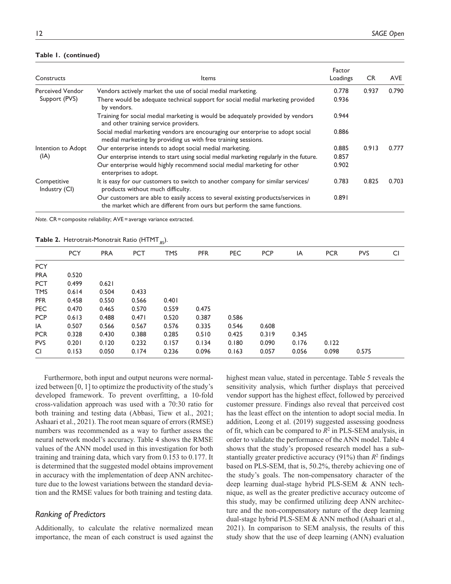## **Table 1. (continued)**

| Constructs                   | <b>Items</b>                                                                                                                                                 | Factor<br>Loadings | <b>CR</b> | <b>AVE</b> |
|------------------------------|--------------------------------------------------------------------------------------------------------------------------------------------------------------|--------------------|-----------|------------|
| <b>Perceived Vendor</b>      | Vendors actively market the use of social medial marketing.                                                                                                  | 0.778              | 0.937     | 0.790      |
| Support (PVS)                | There would be adequate technical support for social medial marketing provided<br>by vendors.                                                                | 0.936              |           |            |
|                              | Training for social medial marketing is would be adequately provided by vendors<br>and other training service providers.                                     | 0.944              |           |            |
|                              | Social medial marketing vendors are encouraging our enterprise to adopt social<br>medial marketing by providing us with free training sessions.              | 0.886              |           |            |
| Intention to Adopt           | Our enterprise intends to adopt social medial marketing.                                                                                                     | 0.885              | 0.913     | 0.777      |
| (IA)                         | Our enterprise intends to start using social medial marketing regularly in the future.                                                                       | 0.857              |           |            |
|                              | Our enterprise would highly recommend social medial marketing for other<br>enterprises to adopt.                                                             | 0.902              |           |            |
| Competitive<br>Industry (CI) | It is easy for our customers to switch to another company for similar services/<br>products without much difficulty.                                         | 0.783              | 0.825     | 0.703      |
|                              | Our customers are able to easily access to several existing products/services in<br>the market which are different from ours but perform the same functions. | 0.891              |           |            |

*Note*. CR = composite reliability; AVE = average variance extracted.

**Table 2.** Hetrotrait-Monotrait Ratio (HTMT.85).

|            | <b>Table 2.</b> Then on an-Tionon are reader (TITTITI $_{\text{gt}}$ ). |            |            |            |            |            |            |       |            |            |     |
|------------|-------------------------------------------------------------------------|------------|------------|------------|------------|------------|------------|-------|------------|------------|-----|
|            | <b>PCY</b>                                                              | <b>PRA</b> | <b>PCT</b> | <b>TMS</b> | <b>PFR</b> | <b>PEC</b> | <b>PCP</b> | IA    | <b>PCR</b> | <b>PVS</b> | CI. |
| <b>PCY</b> |                                                                         |            |            |            |            |            |            |       |            |            |     |
| <b>PRA</b> | 0.520                                                                   |            |            |            |            |            |            |       |            |            |     |
| <b>PCT</b> | 0.499                                                                   | 0.621      |            |            |            |            |            |       |            |            |     |
| <b>TMS</b> | 0.614                                                                   | 0.504      | 0.433      |            |            |            |            |       |            |            |     |
| <b>PFR</b> | 0.458                                                                   | 0.550      | 0.566      | 0.401      |            |            |            |       |            |            |     |
| <b>PEC</b> | 0.470                                                                   | 0.465      | 0.570      | 0.559      | 0.475      |            |            |       |            |            |     |
| <b>PCP</b> | 0.613                                                                   | 0.488      | 0.471      | 0.520      | 0.387      | 0.586      |            |       |            |            |     |
| IA         | 0.507                                                                   | 0.566      | 0.567      | 0.576      | 0.335      | 0.546      | 0.608      |       |            |            |     |
| <b>PCR</b> | 0.328                                                                   | 0.430      | 0.388      | 0.285      | 0.510      | 0.425      | 0.319      | 0.345 |            |            |     |
| <b>PVS</b> | 0.201                                                                   | 0.120      | 0.232      | 0.157      | 0.134      | 0.180      | 0.090      | 0.176 | 0.122      |            |     |
| CI.        | 0.153                                                                   | 0.050      | 0.174      | 0.236      | 0.096      | 0.163      | 0.057      | 0.056 | 0.098      | 0.575      |     |

Furthermore, both input and output neurons were normalized between [0, 1] to optimize the productivity of the study's developed framework. To prevent overfitting, a 10-fold cross-validation approach was used with a 70:30 ratio for both training and testing data (Abbasi, Tiew et al., 2021; Ashaari et al., 2021). The root mean square of errors (RMSE) numbers was recommended as a way to further assess the neural network model's accuracy. Table 4 shows the RMSE values of the ANN model used in this investigation for both training and training data, which vary from 0.153 to 0.177. It is determined that the suggested model obtains improvement in accuracy with the implementation of deep ANN architecture due to the lowest variations between the standard deviation and the RMSE values for both training and testing data.

## *Ranking of Predictors*

Additionally, to calculate the relative normalized mean importance, the mean of each construct is used against the

highest mean value, stated in percentage. Table 5 reveals the sensitivity analysis, which further displays that perceived vendor support has the highest effect, followed by perceived customer pressure. Findings also reveal that perceived cost has the least effect on the intention to adopt social media. In addition, Leong et al. (2019) suggested assessing goodness of fit, which can be compared to  $R^2$  in PLS-SEM analysis, in order to validate the performance of the ANN model. Table 4 shows that the study's proposed research model has a substantially greater predictive accuracy  $(91\%)$  than  $R^2$  findings based on PLS-SEM, that is, 50.2%, thereby achieving one of the study's goals. The non-compensatory character of the deep learning dual-stage hybrid PLS-SEM & ANN technique, as well as the greater predictive accuracy outcome of this study, may be confirmed utilizing deep ANN architecture and the non-compensatory nature of the deep learning dual-stage hybrid PLS-SEM & ANN method (Ashaari et al., 2021). In comparison to SEM analysis, the results of this study show that the use of deep learning (ANN) evaluation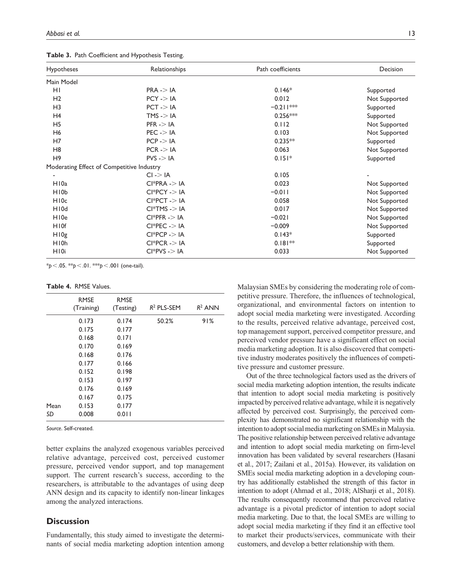**Table 3.** Path Coefficient and Hypothesis Testing.

| <b>Hypotheses</b><br>Relationships        |                         | Path coefficients | Decision      |
|-------------------------------------------|-------------------------|-------------------|---------------|
| Main Model                                |                         |                   |               |
| HI                                        | $PRA \rightarrow IA$    | $0.146*$          | Supported     |
| H <sub>2</sub>                            | $PCY - > IA$            | 0.012             | Not Supported |
| H <sub>3</sub>                            | $PCT$ - $>$ IA          | $-0.211***$       | Supported     |
| H4                                        | $TMS \rightarrow IA$    | $0.256***$        | Supported     |
| H <sub>5</sub>                            | $PFR \rightarrow IA$    | 0.112             | Not Supported |
| H <sub>6</sub>                            | $PEC \rightarrow IA$    | 0.103             | Not Supported |
| H7                                        | $PCP \rightarrow IA$    | $0.235**$         | Supported     |
| H <sub>8</sub>                            | $PCR \rightarrow IA$    | 0.063             | Not Supported |
| H <sub>9</sub>                            | $PVS \rightarrow IA$    | $0.151*$          | Supported     |
| Moderating Effect of Competitive Industry |                         |                   |               |
|                                           | $CI \rightarrow IA$     | 0.105             |               |
| H <sub>10a</sub>                          | $Cl*PRA \rightarrow IA$ | 0.023             | Not Supported |
| H <sub>10</sub>                           | $Cl*PCY - >  A $        | $-0.011$          | Not Supported |
| H <sub>10c</sub>                          | $CI*PCT - > IA$         | 0.058             | Not Supported |
| H <sub>10</sub> d                         | $CI*TMS - > IA$         | 0.017             | Not Supported |
| H10e                                      | $CI*PFR - > IA$         | $-0.021$          | Not Supported |
| H <sub>10f</sub>                          | $Cl*PEC$ -> IA          | $-0.009$          | Not Supported |
| H10g                                      | $Cl*PCP->IA$            | $0.143*$          | Supported     |
| H <sub>10</sub> h                         | $Cl*PCR - > IA$         | $0.181**$         | Supported     |
| H <sub>10i</sub>                          | $CI*PVS - > IA$         | 0.033             | Not Supported |

\**p*<.05. \*\**p*<.01. \*\*\**p*<.001 (one-tail).

**Table 4.** RMSE Values.

|      | <b>RMSE</b><br>(Training) | <b>RMSE</b><br>(Testing) | $R^2$ PLS-SEM | $R^2$ ANN |
|------|---------------------------|--------------------------|---------------|-----------|
|      | 0.173                     | 0.174                    | 50.2%         | 91%       |
|      | 0.175                     | 0.177                    |               |           |
|      | 0.168                     | 0.171                    |               |           |
|      | 0.170                     | 0.169                    |               |           |
|      | 0.168                     | 0.176                    |               |           |
|      | 0.177                     | 0.166                    |               |           |
|      | 0.152                     | 0.198                    |               |           |
|      | 0.153                     | 0.197                    |               |           |
|      | 0.176                     | 0.169                    |               |           |
|      | 0.167                     | 0.175                    |               |           |
| Mean | 0.153                     | 0.177                    |               |           |
| SD   | 0.008                     | 0.011                    |               |           |

*Source*. Self-created.

better explains the analyzed exogenous variables perceived relative advantage, perceived cost, perceived customer pressure, perceived vendor support, and top management support. The current research's success, according to the researchers, is attributable to the advantages of using deep ANN design and its capacity to identify non-linear linkages among the analyzed interactions.

## **Discussion**

Fundamentally, this study aimed to investigate the determinants of social media marketing adoption intention among Malaysian SMEs by considering the moderating role of competitive pressure. Therefore, the influences of technological, organizational, and environmental factors on intention to adopt social media marketing were investigated. According to the results, perceived relative advantage, perceived cost, top management support, perceived competitor pressure, and perceived vendor pressure have a significant effect on social media marketing adoption. It is also discovered that competitive industry moderates positively the influences of competitive pressure and customer pressure.

Out of the three technological factors used as the drivers of social media marketing adoption intention, the results indicate that intention to adopt social media marketing is positively impacted by perceived relative advantage, while it is negatively affected by perceived cost. Surprisingly, the perceived complexity has demonstrated no significant relationship with the intention to adopt social media marketing on SMEs in Malaysia. The positive relationship between perceived relative advantage and intention to adopt social media marketing on firm-level innovation has been validated by several researchers (Hasani et al., 2017; Zailani et al., 2015a). However, its validation on SMEs social media marketing adoption in a developing country has additionally established the strength of this factor in intention to adopt (Ahmad et al., 2018; AlSharji et al., 2018). The results consequently recommend that perceived relative advantage is a pivotal predictor of intention to adopt social media marketing. Due to that, the local SMEs are willing to adopt social media marketing if they find it an effective tool to market their products/services, communicate with their customers, and develop a better relationship with them.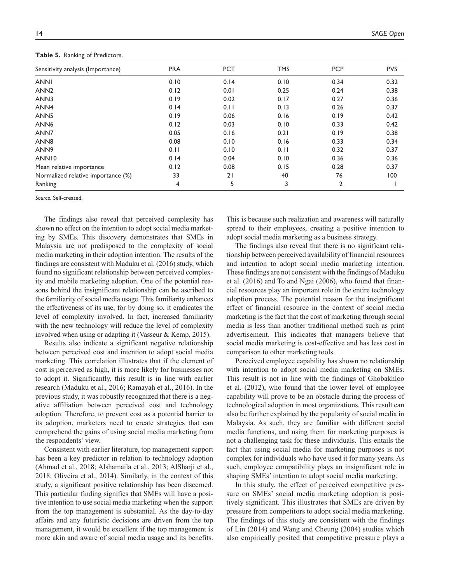| Sensitivity analysis (Importance)  | <b>PRA</b> | <b>PCT</b> | <b>TMS</b> | <b>PCP</b>     | <b>PVS</b> |
|------------------------------------|------------|------------|------------|----------------|------------|
| <b>ANNI</b>                        | 0.10       | 0.14       | 0.10       | 0.34           | 0.32       |
| ANN <sub>2</sub>                   | 0.12       | 0.01       | 0.25       | 0.24           | 0.38       |
| ANN3                               | 0.19       | 0.02       | 0.17       | 0.27           | 0.36       |
| ANN <sub>4</sub>                   | 0.14       | 0.11       | 0.13       | 0.26           | 0.37       |
| ANN <sub>5</sub>                   | 0.19       | 0.06       | 0.16       | 0.19           | 0.42       |
| ANN <sub>6</sub>                   | 0.12       | 0.03       | 0.10       | 0.33           | 0.42       |
| ANN7                               | 0.05       | 0.16       | 0.21       | 0.19           | 0.38       |
| ANN <sub>8</sub>                   | 0.08       | 0.10       | 0.16       | 0.33           | 0.34       |
| ANN <sub>9</sub>                   | 0.11       | 0.10       | 0.11       | 0.32           | 0.37       |
| ANN <sub>10</sub>                  | 0.14       | 0.04       | 0.10       | 0.36           | 0.36       |
| Mean relative importance           | 0.12       | 0.08       | 0.15       | 0.28           | 0.37       |
| Normalized relative importance (%) | 33         | 21         | 40         | 76             | 100        |
| Ranking                            | 4          | 5          | 3          | $\overline{2}$ |            |

**Table 5.** Ranking of Predictors.

*Source*. Self-created.

The findings also reveal that perceived complexity has shown no effect on the intention to adopt social media marketing by SMEs. This discovery demonstrates that SMEs in Malaysia are not predisposed to the complexity of social media marketing in their adoption intention. The results of the findings are consistent with Maduku et al. (2016) study, which found no significant relationship between perceived complexity and mobile marketing adoption. One of the potential reasons behind the insignificant relationship can be ascribed to the familiarity of social media usage. This familiarity enhances the effectiveness of its use, for by doing so, it eradicates the level of complexity involved. In fact, increased familiarity with the new technology will reduce the level of complexity involved when using or adapting it (Vasseur & Kemp, 2015).

Results also indicate a significant negative relationship between perceived cost and intention to adopt social media marketing. This correlation illustrates that if the element of cost is perceived as high, it is more likely for businesses not to adopt it. Significantly, this result is in line with earlier research (Maduku et al., 2016; Ramayah et al., 2016). In the previous study, it was robustly recognized that there is a negative affiliation between perceived cost and technology adoption. Therefore, to prevent cost as a potential barrier to its adoption, marketers need to create strategies that can comprehend the gains of using social media marketing from the respondents' view.

Consistent with earlier literature, top management support has been a key predictor in relation to technology adoption (Ahmad et al., 2018; Alshamaila et al., 2013; AlSharji et al., 2018; Oliveira et al., 2014). Similarly, in the context of this study, a significant positive relationship has been discerned. This particular finding signifies that SMEs will have a positive intention to use social media marketing when the support from the top management is substantial. As the day-to-day affairs and any futuristic decisions are driven from the top management, it would be excellent if the top management is more akin and aware of social media usage and its benefits.

This is because such realization and awareness will naturally spread to their employees, creating a positive intention to adopt social media marketing as a business strategy.

The findings also reveal that there is no significant relationship between perceived availability of financial resources and intention to adopt social media marketing intention. These findings are not consistent with the findings of Maduku et al. (2016) and To and Ngai (2006), who found that financial resources play an important role in the entire technology adoption process. The potential reason for the insignificant effect of financial resource in the context of social media marketing is the fact that the cost of marketing through social media is less than another traditional method such as print advertisement. This indicates that managers believe that social media marketing is cost-effective and has less cost in comparison to other marketing tools.

Perceived employee capability has shown no relationship with intention to adopt social media marketing on SMEs. This result is not in line with the findings of Ghobakhloo et al. (2012), who found that the lower level of employee capability will prove to be an obstacle during the process of technological adoption in most organizations. This result can also be further explained by the popularity of social media in Malaysia. As such, they are familiar with different social media functions, and using them for marketing purposes is not a challenging task for these individuals. This entails the fact that using social media for marketing purposes is not complex for individuals who have used it for many years. As such, employee compatibility plays an insignificant role in shaping SMEs' intention to adopt social media marketing.

In this study, the effect of perceived competitive pressure on SMEs' social media marketing adoption is positively significant. This illustrates that SMEs are driven by pressure from competitors to adopt social media marketing. The findings of this study are consistent with the findings of Lin (2014) and Wang and Cheung (2004) studies which also empirically posited that competitive pressure plays a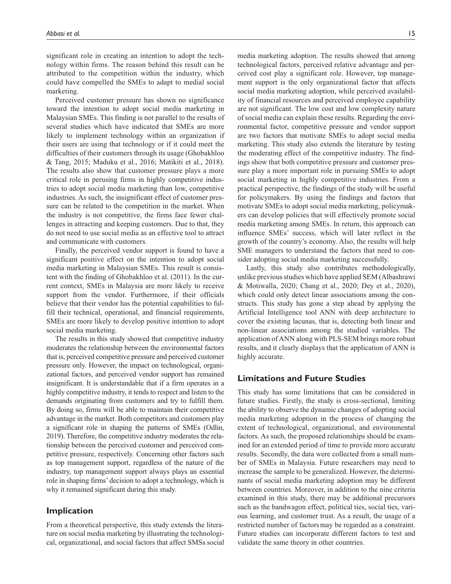significant role in creating an intention to adopt the technology within firms. The reason behind this result can be attributed to the competition within the industry, which could have compelled the SMEs to adapt to medial social marketing.

Perceived customer pressure has shown no significance toward the intention to adopt social media marketing in Malaysian SMEs. This finding is not parallel to the results of several studies which have indicated that SMEs are more likely to implement technology within an organization if their users are using that technology or if it could meet the difficulties of their customers through its usage (Ghobakhloo & Tang, 2015; Maduku et al., 2016; Matikiti et al., 2018). The results also show that customer pressure plays a more critical role in perusing firms in highly competitive industries to adopt social media marketing than low, competitive industries. As such, the insignificant effect of customer pressure can be related to the competition in the market. When the industry is not competitive, the firms face fewer challenges in attracting and keeping customers. Due to that, they do not need to use social media as an effective tool to attract and communicate with customers.

Finally, the perceived vendor support is found to have a significant positive effect on the intention to adopt social media marketing in Malaysian SMEs. This result is consistent with the finding of Ghobakhloo et al. (2011). In the current context, SMEs in Malaysia are more likely to receive support from the vendor. Furthermore, if their officials believe that their vendor has the potential capabilities to fulfill their technical, operational, and financial requirements, SMEs are more likely to develop positive intention to adopt social media marketing.

The results in this study showed that competitive industry moderates the relationship between the environmental factors that is, perceived competitive pressure and perceived customer pressure only. However, the impact on technological, organizational factors, and perceived vendor support has remained insignificant. It is understandable that if a firm operates in a highly competitive industry, it tends to respect and listen to the demands originating from customers and try to fulfill them. By doing so, firms will be able to maintain their competitive advantage in the market. Both competitors and customers play a significant role in shaping the patterns of SMEs (Odlin, 2019). Therefore, the competitive industry moderates the relationship between the perceived customer and perceived competitive pressure, respectively. Concerning other factors such as top management support, regardless of the nature of the industry, top management support always plays an essential role in shaping firms' decision to adopt a technology, which is why it remained significant during this study.

## **Implication**

From a theoretical perspective, this study extends the literature on social media marketing by illustrating the technological, organizational, and social factors that affect SMSs social media marketing adoption. The results showed that among technological factors, perceived relative advantage and perceived cost play a significant role. However, top management support is the only organizational factor that affects social media marketing adoption, while perceived availability of financial resources and perceived employee capability are not significant. The low cost and low complexity nature of social media can explain these results. Regarding the environmental factor, competitive pressure and vendor support are two factors that motivate SMEs to adopt social media marketing. This study also extends the literature by testing the moderating effect of the competitive industry. The findings show that both competitive pressure and customer pressure play a more important role in pursuing SMEs to adopt social marketing in highly competitive industries. From a practical perspective, the findings of the study will be useful for policymakers. By using the findings and factors that motivate SMEs to adopt social media marketing, policymakers can develop policies that will effectively promote social media marketing among SMEs. In return, this approach can influence SMEs' success, which will later reflect in the growth of the country's economy. Also, the results will help SME managers to understand the factors that need to consider adopting social media marketing successfully.

Lastly, this study also contributes methodologically, unlike previous studies which have applied SEM (Albashrawi & Motiwalla, 2020; Chang et al., 2020; Dey et al., 2020), which could only detect linear associations among the constructs. This study has gone a step ahead by applying the Artificial Intelligence tool ANN with deep architecture to cover the existing lacunas, that is, detecting both linear and non-linear associations among the studied variables. The application of ANN along with PLS-SEM brings more robust results, and it clearly displays that the application of ANN is highly accurate.

## **Limitations and Future Studies**

This study has some limitations that can be considered in future studies. Firstly, the study is cross-sectional, limiting the ability to observe the dynamic changes of adopting social media marketing adoption in the process of changing the extent of technological, organizational, and environmental factors. As such, the proposed relationships should be examined for an extended period of time to provide more accurate results. Secondly, the data were collected from a small number of SMEs in Malaysia. Future researchers may need to increase the sample to be generalized. However, the determinants of social media marketing adoption may be different between countries. Moreover, in addition to the nine criteria examined in this study, there may be additional precursors such as the bandwagon effect, political ties, social ties, various learning, and customer trust. As a result, the usage of a restricted number of factorsmay be regarded as a constraint. Future studies can incorporate different factors to test and validate the same theory in other countries.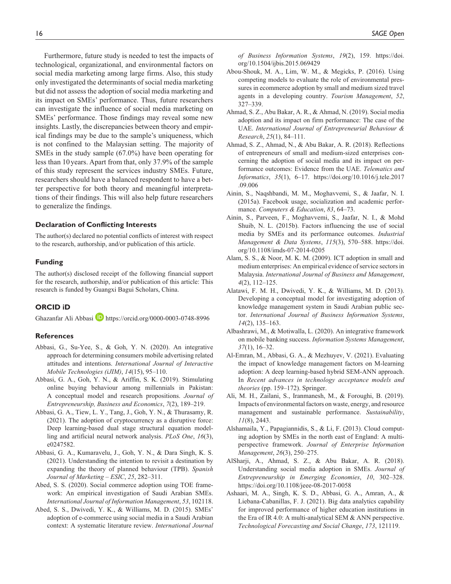Furthermore, future study is needed to test the impacts of technological, organizational, and environmental factors on social media marketing among large firms. Also, this study only investigated the determinants of social media marketing but did not assess the adoption of social media marketing and its impact on SMEs' performance. Thus, future researchers can investigate the influence of social media marketing on SMEs' performance. Those findings may reveal some new insights. Lastly, the discrepancies between theory and empirical findings may be due to the sample's uniqueness, which is not confined to the Malaysian setting. The majority of SMEs in the study sample (67.0%) have been operating for less than 10years. Apart from that, only 37.9% of the sample of this study represent the services industry SMEs. Future, researchers should have a balanced respondent to have a better perspective for both theory and meaningful interpretations of their findings. This will also help future researchers to generalize the findings.

#### **Declaration of Conflicting Interests**

The author(s) declared no potential conflicts of interest with respect to the research, authorship, and/or publication of this article.

## **Funding**

The author(s) disclosed receipt of the following financial support for the research, authorship, and/or publication of this article: This research is funded by Guangxi Bagui Scholars, China.

#### **ORCID iD**

Ghazanfar Ali Abbasi **<https://orcid.org/0000-0003-0748-8996>** 

#### **References**

- Abbasi, G., Su-Yee, S., & Goh, Y. N. (2020). An integrative approach for determining consumers mobile advertising related attitudes and intentions. *International Journal of Interactive Mobile Technologies (iJIM)*, *14*(15), 95–110.
- Abbasi, G. A., Goh, Y. N., & Ariffin, S. K. (2019). Stimulating online buying behaviour among millennials in Pakistan: A conceptual model and research propositions. *Journal of Entrepreneurship, Business and Economics*, *7*(2), 189–219.
- Abbasi, G. A., Tiew, L. Y., Tang, J., Goh, Y. N., & Thurasamy, R. (2021). The adoption of cryptocurrency as a disruptive force: Deep learning-based dual stage structural equation modelling and artificial neural network analysis. *PLoS One*, *16*(3), e0247582.
- Abbasi, G. A., Kumaravelu, J., Goh, Y. N., & Dara Singh, K. S. (2021). Understanding the intention to revisit a destination by expanding the theory of planned behaviour (TPB). *Spanish Journal of Marketing – ESIC*, *25*, 282–311.
- Abed, S. S. (2020). Social commerce adoption using TOE framework: An empirical investigation of Saudi Arabian SMEs. *International Journal of Information Management*, *53*, 102118.
- Abed, S. S., Dwivedi, Y. K., & Williams, M. D. (2015). SMEs' adoption of e-commerce using social media in a Saudi Arabian context: A systematic literature review. *International Journal*

*of Business Information Systems*, *19*(2), 159. [https://doi.](https://doi.org/10.1504/ijbis.2015.069429) [org/10.1504/ijbis.2015.069429](https://doi.org/10.1504/ijbis.2015.069429)

- Abou-Shouk, M. A., Lim, W. M., & Megicks, P. (2016). Using competing models to evaluate the role of environmental pressures in ecommerce adoption by small and medium sized travel agents in a developing country. *Tourism Management*, *52*, 327–339.
- Ahmad, S. Z., Abu Bakar, A. R., & Ahmad, N. (2019). Social media adoption and its impact on firm performance: The case of the UAE. *International Journal of Entrepreneurial Behaviour & Research*, *25*(1), 84–111.
- Ahmad, S. Z., Ahmad, N., & Abu Bakar, A. R. (2018). Reflections of entrepreneurs of small and medium-sized enterprises concerning the adoption of social media and its impact on performance outcomes: Evidence from the UAE. *Telematics and Informatics*, *35*(1), 6–17. [https://doi.org/10.1016/j.tele.2017](https://doi.org/10.1016/j.tele.2017.09.006) [.09.006](https://doi.org/10.1016/j.tele.2017.09.006)
- Ainin, S., Naqshbandi, M. M., Moghavvemi, S., & Jaafar, N. I. (2015a). Facebook usage, socialization and academic performance. *Computers & Education*, *83*, 64–73.
- Ainin, S., Parveen, F., Moghavvemi, S., Jaafar, N. I., & Mohd Shuib, N. L. (2015b). Factors influencing the use of social media by SMEs and its performance outcomes. *Industrial Management & Data Systems*, *115*(3), 570–588. [https://doi.](https://doi.org/10.1108/imds-07-2014-0205) [org/10.1108/imds-07-2014-0205](https://doi.org/10.1108/imds-07-2014-0205)
- Alam, S. S., & Noor, M. K. M. (2009). ICT adoption in small and medium enterprises: An empirical evidence of service sectors in Malaysia. *International Journal of Business and Management*, *4*(2), 112–125.
- Alatawi, F. M. H., Dwivedi, Y. K., & Williams, M. D. (2013). Developing a conceptual model for investigating adoption of knowledge management system in Saudi Arabian public sector. *International Journal of Business Information Systems*, *14*(2), 135–163.
- Albashrawi, M., & Motiwalla, L. (2020). An integrative framework on mobile banking success. *Information Systems Management*, *37*(1), 16–32.
- Al-Emran, M., Abbasi, G. A., & Mezhuyev, V. (2021). Evaluating the impact of knowledge management factors on M-learning adoption: A deep learning-based hybrid SEM-ANN approach. In *Recent advances in technology acceptance models and theories* (pp. 159–172). Springer.
- Ali, M. H., Zailani, S., Iranmanesh, M., & Foroughi, B. (2019). Impacts of environmental factors on waste, energy, and resource management and sustainable performance. *Sustainability*, *11*(8), 2443.
- Alshamaila, Y., Papagiannidis, S., & Li, F. (2013). Cloud computing adoption by SMEs in the north east of England: A multiperspective framework. *Journal of Enterprise Information Management*, *26*(3), 250–275.
- AlSharji, A., Ahmad, S. Z., & Abu Bakar, A. R. (2018). Understanding social media adoption in SMEs. *Journal of Entrepreneurship in Emerging Economies*, *10*, 302–328. <https://doi.org/10.1108/jeee-08-2017-0058>
- Ashaari, M. A., Singh, K. S. D., Abbasi, G. A., Amran, A., & Liebana-Cabanillas, F. J. (2021). Big data analytics capability for improved performance of higher education institutions in the Era of IR 4.0: A multi-analytical SEM & ANN perspective. *Technological Forecasting and Social Change*, *173*, 121119.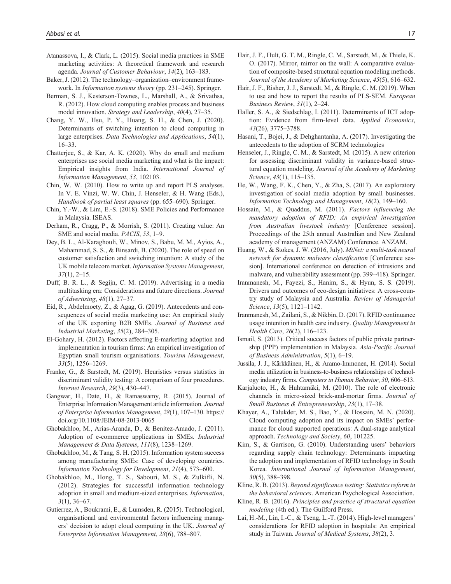- Atanassova, I., & Clark, L. (2015). Social media practices in SME marketing activities: A theoretical framework and research agenda. *Journal of Customer Behaviour*, *14*(2), 163–183.
- Baker, J. (2012). The technology–organization–environment framework. In *Information systems theory* (pp. 231–245). Springer.
- Berman, S. J., Kesterson-Townes, L., Marshall, A., & Srivathsa, R. (2012). How cloud computing enables process and business model innovation. *Strategy and Leadership*, *40*(4), 27–35.
- Chang, Y. W., Hsu, P. Y., Huang, S. H., & Chen, J. (2020). Determinants of switching intention to cloud computing in large enterprises. *Data Technologies and Applications*, *54*(1), 16–33.
- Chatterjee, S., & Kar, A. K. (2020). Why do small and medium enterprises use social media marketing and what is the impact: Empirical insights from India. *International Journal of Information Management*, *53*, 102103.
- Chin, W. W. (2010). How to write up and report PLS analyses. In V. E. Vinzi, W. W. Chin, J. Henseler, & H. Wang (Eds.), *Handbook of partial least squares* (pp. 655–690). Springer.
- Chin, Y.-W., & Lim, E.-S. (2018). SME Policies and Performance in Malaysia. ISEAS.
- Derham, R., Cragg, P., & Morrish, S. (2011). Creating value: An SME and social media. *PACIS*, *53*, 1–9.
- Dey, B. L., Al-Karaghouli, W., Minov, S., Babu, M. M., Ayios, A., Mahammad, S. S., & Binsardi, B. (2020). The role of speed on customer satisfaction and switching intention: A study of the UK mobile telecom market. *Information Systems Management*, *37*(1), 2–15.
- Duff, B. R. L., & Segijn, C. M. (2019). Advertising in a media multitasking era: Considerations and future directions. *Journal of Advertising*, *48*(1), 27–37.
- Eid, R., Abdelmoety, Z., & Agag, G. (2019). Antecedents and consequences of social media marketing use: An empirical study of the UK exporting B2B SMEs. *Journal of Business and Industrial Marketing*, *35*(2), 284–305.
- El-Gohary, H. (2012). Factors affecting E-marketing adoption and implementation in tourism firms: An empirical investigation of Egyptian small tourism organisations. *Tourism Management*, *33*(5), 1256–1269.
- Franke, G., & Sarstedt, M. (2019). Heuristics versus statistics in discriminant validity testing: A comparison of four procedures. *Internet Research*, *29*(3), 430–447.
- Gangwar, H., Date, H., & Ramaswamy, R. (2015). Journal of Enterprise Information Management article information. *Journal of Enterprise Information Management*, *28*(1), 107–130. [https://](https://doi.org/10.1108/JEIM-08-2013-0065) [doi.org/10.1108/JEIM-08-2013-0065](https://doi.org/10.1108/JEIM-08-2013-0065)
- Ghobakhloo, M., Arias-Aranda, D., & Benitez-Amado, J. (2011). Adoption of e-commerce applications in SMEs. *Industrial Management & Data Systems*, *111*(8), 1238–1269.
- Ghobakhloo, M., & Tang, S. H. (2015). Information system success among manufacturing SMEs: Case of developing countries. *Information Technology for Development*, *21*(4), 573–600.
- Ghobakhloo, M., Hong, T. S., Sabouri, M. S., & Zulkifli, N. (2012). Strategies for successful information technology adoption in small and medium-sized enterprises. *Information*, *3*(1), 36–67.
- Gutierrez, A., Boukrami, E., & Lumsden, R. (2015). Technological, organisational and environmental factors influencing managers' decision to adopt cloud computing in the UK. *Journal of Enterprise Information Management*, *28*(6), 788–807.
- Hair, J. F., Hult, G. T. M., Ringle, C. M., Sarstedt, M., & Thiele, K. O. (2017). Mirror, mirror on the wall: A comparative evaluation of composite-based structural equation modeling methods. *Journal of the Academy of Marketing Science*, *45*(5), 616–632.
- Hair, J. F., Risher, J. J., Sarstedt, M., & Ringle, C. M. (2019). When to use and how to report the results of PLS-SEM. *European Business Review*, *31*(1), 2–24.
- Haller, S. A., & Siedschlag, I. (2011). Determinants of ICT adoption: Evidence from firm-level data. *Applied Economics*, *43*(26), 3775–3788.
- Hasani, T., Bojei, J., & Dehghantanha, A. (2017). Investigating the antecedents to the adoption of SCRM technologies
- Henseler, J., Ringle, C. M., & Sarstedt, M. (2015). A new criterion for assessing discriminant validity in variance-based structural equation modeling. *Journal of the Academy of Marketing Science*, *43*(1), 115–135.
- He, W., Wang, F. K., Chen, Y., & Zha, S. (2017). An exploratory investigation of social media adoption by small businesses. *Information Technology and Management*, *18*(2), 149–160.
- Hossain, M., & Quaddus, M. (2011). *Factors influencing the mandatory adoption of RFID: An empirical investigation from Australian livestock industry* [Conference session]. Proceedings of the 25th annual Australian and New Zealand academy of management (ANZAM) Conference. ANZAM.
- Huang, W., & Stokes, J. W. (2016, July). *MtNet: a multi-task neural network for dynamic malware classification* [Conference session]. International conference on detection of intrusions and malware, and vulnerability assessment (pp. 399–418). Springer.
- Iranmanesh, M., Fayezi, S., Hanim, S., & Hyun, S. S. (2019). Drivers and outcomes of eco-design initiatives: A cross-country study of Malaysia and Australia. *Review of Managerial Science*, *13*(5), 1121–1142.
- Iranmanesh, M., Zailani, S., & Nikbin, D. (2017). RFID continuance usage intention in health care industry. *Quality Management in Health Care*, *26*(2), 116–123.
- Ismail, S. (2013). Critical success factors of public private partnership (PPP) implementation in Malaysia. *Asia-Pacific Journal of Business Administration*, *5*(1), 6–19.
- Jussila, J. J., Kärkkäinen, H., & Aramo-Immonen, H. (2014). Social media utilization in business-to-business relationships of technology industry firms. *Computers in Human Behavior*, *30*, 606–613.
- Karjaluoto, H., & Huhtamäki, M. (2010). The role of electronic channels in micro-sized brick-and-mortar firms. *Journal of Small Business & Entrepreneurship*, *23*(1), 17–38.
- Khayer, A., Talukder, M. S., Bao, Y., & Hossain, M. N. (2020). Cloud computing adoption and its impact on SMEs' performance for cloud supported operations: A dual-stage analytical approach. *Technology and Society*, *60*, 101225.
- Kim, S., & Garrison, G. (2010). Understanding users' behaviors regarding supply chain technology: Determinants impacting the adoption and implementation of RFID technology in South Korea. *International Journal of Information Management*, *30*(5), 388–398.
- Kline, R. B. (2013). *Beyond significance testing: Statistics reform in the behavioral sciences*. American Psychological Association.
- Kline, R. B. (2016). *Principles and practice of structural equation modeling* (4th ed.). The Guilford Press.
- Lai, H.-M., Lin, I.-C., & Tseng, L.-T. (2014). High-level managers' considerations for RFID adoption in hospitals: An empirical study in Taiwan. *Journal of Medical Systems*, *38*(2), 3.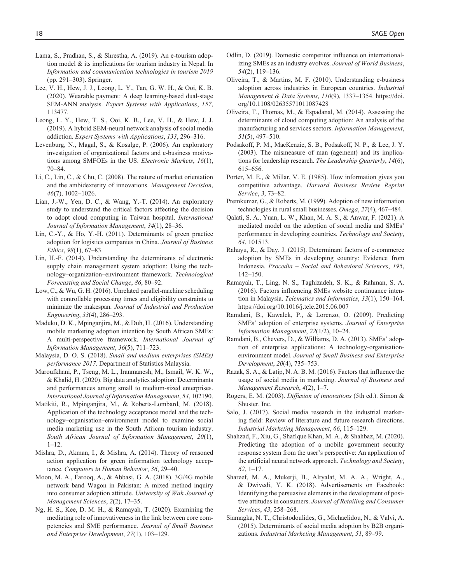- Lama, S., Pradhan, S., & Shrestha, A. (2019). An e-tourism adoption model & its implications for tourism industry in Nepal. In *Information and communication technologies in tourism 2019* (pp. 291–303). Springer.
- Lee, V. H., Hew, J. J., Leong, L. Y., Tan, G. W. H., & Ooi, K. B. (2020). Wearable payment: A deep learning-based dual-stage SEM-ANN analysis. *Expert Systems with Applications*, *157*, 113477.
- Leong, L. Y., Hew, T. S., Ooi, K. B., Lee, V. H., & Hew, J. J. (2019). A hybrid SEM-neural network analysis of social media addiction. *Expert Systems with Applications*, *133*, 296–316.
- Levenburg, N., Magal, S., & Kosalge, P. (2006). An exploratory investigation of organizational factors and e-business motivations among SMFOEs in the US. *Electronic Markets*, *16*(1), 70–84.
- Li, C., Lin, C., & Chu, C. (2008). The nature of market orientation and the ambidexterity of innovations. *Management Decision*, *46*(7), 1002–1026.
- Lian, J.-W., Yen, D. C., & Wang, Y.-T. (2014). An exploratory study to understand the critical factors affecting the decision to adopt cloud computing in Taiwan hospital. *International Journal of Information Management*, *34*(1), 28–36.
- Lin, C.-Y., & Ho, Y.-H. (2011). Determinants of green practice adoption for logistics companies in China. *Journal of Business Ethics*, *98*(1), 67–83.
- Lin, H.-F. (2014). Understanding the determinants of electronic supply chain management system adoption: Using the technology–organization–environment framework. *Technological Forecasting and Social Change*, *86*, 80–92.
- Low, C., & Wu, G. H. (2016). Unrelated parallel-machine scheduling with controllable processing times and eligibility constraints to minimize the makespan. *Journal of Industrial and Production Engineering*, *33*(4), 286–293.
- Maduku, D. K., Mpinganjira, M., & Duh, H. (2016). Understanding mobile marketing adoption intention by South African SMEs: A multi-perspective framework. *International Journal of Information Management*, *36*(5), 711–723.
- Malaysia, D. O. S. (2018). *Small and medium enterprises (SMEs) performance 2017*. Department of Statistics Malaysia.
- Maroufkhani, P., Tseng, M. L., Iranmanesh, M., Ismail, W. K. W., & Khalid, H. (2020). Big data analytics adoption: Determinants and performances among small to medium-sized enterprises. *International Journal of Information Management*, *54*, 102190.
- Matikiti, R., Mpinganjira, M., & Roberts-Lombard, M. (2018). Application of the technology acceptance model and the technology–organisation–environment model to examine social media marketing use in the South African tourism industry. *South African Journal of Information Management*, *20*(1), 1–12.
- Mishra, D., Akman, I., & Mishra, A. (2014). Theory of reasoned action application for green information technology acceptance. *Computers in Human Behavior*, *36*, 29–40.
- Moon, M. A., Farooq, A., & Abbasi, G. A. (2018). 3G/4G mobile network band Wagon in Pakistan: A mixed method inquiry into consumer adoption attitude. *University of Wah Journal of Management Sciences*, *2*(2), 17–35.
- Ng, H. S., Kee, D. M. H., & Ramayah, T. (2020). Examining the mediating role of innovativeness in the link between core competencies and SME performance. *Journal of Small Business and Enterprise Development*, *27*(1), 103–129.
- Odlin, D. (2019). Domestic competitor influence on internationalizing SMEs as an industry evolves. *Journal of World Business*, *54*(2), 119–136.
- Oliveira, T., & Martins, M. F. (2010). Understanding e-business adoption across industries in European countries. *Industrial Management & Data Systems*, *110*(9), 1337–1354. [https://doi.](https://doi.org/10.1108/02635571011087428) [org/10.1108/02635571011087428](https://doi.org/10.1108/02635571011087428)
- Oliveira, T., Thomas, M., & Espadanal, M. (2014). Assessing the determinants of cloud computing adoption: An analysis of the manufacturing and services sectors. *Information Management*, *51*(5), 497–510.
- Podsakoff, P. M., MacKenzie, S. B., Podsakoff, N. P., & Lee, J. Y. (2003). The mismeasure of man (agement) and its implications for leadership research. *The Leadership Quarterly*, *14*(6), 615–656.
- Porter, M. E., & Millar, V. E. (1985). How information gives you competitive advantage. *Harvard Business Review Reprint Service*, *3*, 73–82.
- Premkumar, G., & Roberts, M. (1999). Adoption of new information technologies in rural small businesses. *Omega*, *27*(4), 467–484.
- Qalati, S. A., Yuan, L. W., Khan, M. A. S., & Anwar, F. (2021). A mediated model on the adoption of social media and SMEs' performance in developing countries. *Technology and Society*, *64*, 101513.
- Rahayu, R., & Day, J. (2015). Determinant factors of e-commerce adoption by SMEs in developing country: Evidence from Indonesia. *Procedia – Social and Behavioral Sciences*, *195*, 142–150.
- Ramayah, T., Ling, N. S., Taghizadeh, S. K., & Rahman, S. A. (2016). Factors influencing SMEs website continuance intention in Malaysia. *Telematics and Informatics*, *33*(1), 150–164. <https://doi.org/10.1016/j.tele.2015.06.007>
- Ramdani, B., Kawalek, P., & Lorenzo, O. (2009). Predicting SMEs' adoption of enterprise systems. *Journal of Enterprise Information Management*, *22*(1/2), 10–24.
- Ramdani, B., Chevers, D., & Williams, D. A. (2013). SMEs' adoption of enterprise applications: A technology-organisationenvironment model. *Journal of Small Business and Enterprise Development*, *20*(4), 735–753.
- Razak, S. A., & Latip, N. A. B. M. (2016). Factors that influence the usage of social media in marketing. *Journal of Business and Management Research*, *4*(2), 1–7.
- Rogers, E. M. (2003). *Diffusion of innovations* (5th ed.). Simon & Shuster. Inc.
- Salo, J. (2017). Social media research in the industrial marketing field: Review of literature and future research directions. *Industrial Marketing Management*, *66*, 115–129.
- Shahzad, F., Xiu, G., Shafique Khan, M. A., & Shahbaz, M. (2020). Predicting the adoption of a mobile government security response system from the user's perspective: An application of the artificial neural network approach. *Technology and Society*, *62*, 1–17.
- Shareef, M. A., Mukerji, B., Alryalat, M. A. A., Wright, A., & Dwivedi, Y. K. (2018). Advertisements on Facebook: Identifying the persuasive elements in the development of positive attitudes in consumers. *Journal of Retailing and Consumer Services*, *43*, 258–268.
- Siamagka, N. T., Christodoulides, G., Michaelidou, N., & Valvi, A. (2015). Determinants of social media adoption by B2B organizations. *Industrial Marketing Management*, *51*, 89–99.